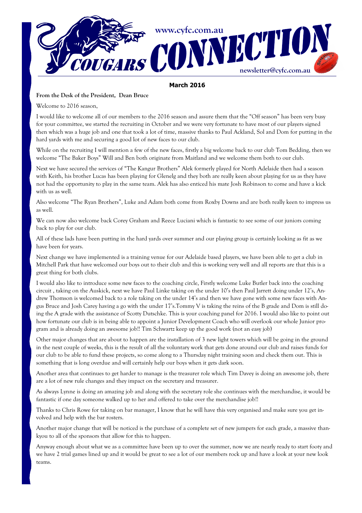

#### March 2016

#### From the Desk of the President, Dean Bruce

Welcome to 2016 season,

I would like to welcome all of our members to the 2016 season and assure them that the "Off season" has been very busy for your committee, we started the recruiting in October and we were very fortunate to have most of our players signed then which was a huge job and one that took a lot of time, massive thanks to Paul Ackland, Sol and Dom for putting in the hard yards with me and securing a good lot of new faces to our club.

While on the recruiting I will mention a few of the new faces, firstly a big welcome back to our club Tom Bedding, then we welcome "The Baker Boys" Will and Ben both originate from Maitland and we welcome them both to our club.

Next we have secured the services of "The Kangur Brothers" Alek formerly played for North Adelaide then had a season with Keith, his brother Lucas has been playing for Glenelg and they both are really keen about playing for us as they have not had the opportunity to play in the same team. Alek has also enticed his mate Josh Robinson to come and have a kick with us as well.

Also welcome "The Ryan Brothers", Luke and Adam both come from Roxby Downs and are both really keen to impress us as well.

We can now also welcome back Corey Graham and Reece Luciani which is fantastic to see some of our juniors coming back to play for our club.

All of these lads have been putting in the hard yards over summer and our playing group is certainly looking as fit as we have been for years.

Next change we have implemented is a training venue for our Adelaide based players, we have been able to get a club in Mitchell Park that have welcomed our boys out to their club and this is working very well and all reports are that this is a great thing for both clubs.

I would also like to introduce some new faces to the coaching circle, Firstly welcome Luke Butler back into the coaching circuit , taking on the Auskick, next we have Paul Linke taking on the under 10's then Paul Jarrett doing under 12's, Andrew Thomson is welcomed back to a role taking on the under 14's and then we have gone with some new faces with Angus Bruce and Josh Carey having a go with the under 17's.Tommy V is taking the reins of the B grade and Dom is still doing the A grade with the assistance of Scotty Dutschke. This is your coaching panel for 2016. I would also like to point out how fortunate our club is in being able to appoint a Junior Development Coach who will overlook our whole Junior program and is already doing an awesome job!! Tim Schwartz keep up the good work (not an easy job)

Other major changes that are about to happen are the installation of 3 new light towers which will be going in the ground in the next couple of weeks, this is the result of all the voluntary work that gets done around our club and raises funds for our club to be able to fund these projects, so come along to a Thursday night training soon and check them out. This is something that is long overdue and will certainly help our boys when it gets dark soon.

Another area that continues to get harder to manage is the treasurer role which Tim Davey is doing an awesome job, there are a lot of new rule changes and they impact on the secretary and treasurer.

As always Lynne is doing an amazing job and along with the secretary role she continues with the merchandise, it would be fantastic if one day someone walked up to her and offered to take over the merchandise job!!

Thanks to Chris Rowe for taking on bar manager, I know that he will have this very organised and make sure you get involved and help with the bar rosters.

Another major change that will be noticed is the purchase of a complete set of new jumpers for each grade, a massive thankyou to all of the sponsors that allow for this to happen.

Anyway enough about what we as a committee have been up to over the summer, now we are nearly ready to start footy and we have 2 trial games lined up and it would be great to see a lot of our members rock up and have a look at your new look teams.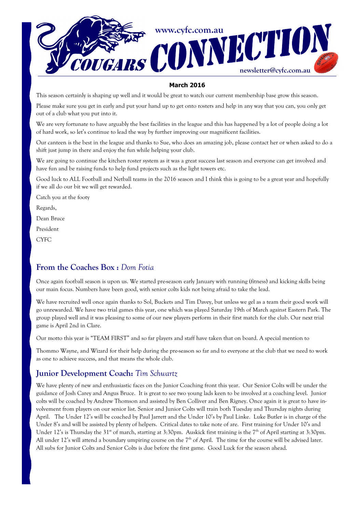

### March 2016

This season certainly is shaping up well and it would be great to watch our current membership base grow this season.

Please make sure you get in early and put your hand up to get onto rosters and help in any way that you can, you only get out of a club what you put into it.

We are very fortunate to have arguably the best facilities in the league and this has happened by a lot of people doing a lot of hard work, so let's continue to lead the way by further improving our magnificent facilities.

Our canteen is the best in the league and thanks to Sue, who does an amazing job, please contact her or when asked to do a shift just jump in there and enjoy the fun while helping your club.

We are going to continue the kitchen roster system as it was a great success last season and everyone can get involved and have fun and be raising funds to help fund projects such as the light towers etc.

Good luck to ALL Football and Netball teams in the 2016 season and I think this is going to be a great year and hopefully if we all do our bit we will get rewarded.

Catch you at the footy

Regards,

Dean Bruce

President

**CYFC** 

## From the Coaches Box : Dom Fotia

Once again football season is upon us. We started pre-season early January with running (fitness) and kicking skills being our main focus. Numbers have been good, with senior colts kids not being afraid to take the lead.

We have recruited well once again thanks to Sol, Buckets and Tim Davey, but unless we gel as a team their good work will go unrewarded. We have two trial games this year, one which was played Saturday 19th of March against Eastern Park. The group played well and it was pleasing to some of our new players perform in their first match for the club. Our next trial game is April 2nd in Clare.

Our motto this year is "TEAM FIRST" and so far players and staff have taken that on board. A special mention to

Thommo Wayne, and Wizard for their help during the pre-season so far and to everyone at the club that we need to work as one to achieve success, and that means the whole club.

## Junior Development Coach: Tim Schwartz

We have plenty of new and enthusiastic faces on the Junior Coaching front this year. Our Senior Colts will be under the guidance of Josh Carey and Angus Bruce. It is great to see two young lads keen to be involved at a coaching level. Junior colts will be coached by Andrew Thomson and assisted by Ben Colliver and Ben Rigney. Once again it is great to have involvement from players on our senior list. Senior and Junior Colts will train both Tuesday and Thursday nights during April. The Under 12's will be coached by Paul Jarrett and the Under 10's by Paul Linke. Luke Butler is in charge of the Under 8's and will be assisted by plenty of helpers. Critical dates to take note of are. First training for Under 10's and Under 12's is Thursday the 31<sup>st</sup> of march, starting at 3:30pm. Auskick first training is the 7<sup>th</sup> of April starting at 3:30pm. All under 12's will attend a boundary umpiring course on the  $7<sup>th</sup>$  of April. The time for the course will be advised later. All subs for Junior Colts and Senior Colts is due before the first game. Good Luck for the season ahead.